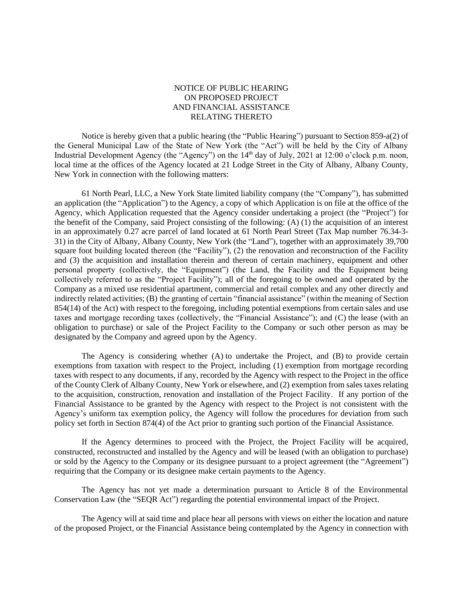## NOTICE OF PUBLIC HEARING ON PROPOSED PROJECT AND FINANCIAL ASSISTANCE RELATING THERETO

Notice is hereby given that a public hearing (the "Public Hearing") pursuant to Section 859-a(2) of the General Municipal Law of the State of New York (the "Act") will be held by the City of Albany Industrial Development Agency (the "Agency") on the 14<sup>th</sup> day of July, 2021 at 12:00 o'clock p.m. noon, local time at the offices of the Agency located at 21 Lodge Street in the City of Albany, Albany County, New York in connection with the following matters:

61 North Pearl, LLC, a New York State limited liability company (the "Company"), has submitted an application (the "Application") to the Agency, a copy of which Application is on file at the office of the Agency, which Application requested that the Agency consider undertaking a project (the "Project") for the benefit of the Company, said Project consisting of the following: (A) (1) the acquisition of an interest in an approximately 0.27 acre parcel of land located at 61 North Pearl Street (Tax Map number 76.34-3- 31) in the City of Albany, Albany County, New York (the "Land"), together with an approximately 39,700 square foot building located thereon (the "Facility"), (2) the renovation and reconstruction of the Facility and (3) the acquisition and installation therein and thereon of certain machinery, equipment and other personal property (collectively, the "Equipment") (the Land, the Facility and the Equipment being collectively referred to as the "Project Facility"); all of the foregoing to be owned and operated by the Company as a mixed use residential apartment, commercial and retail complex and any other directly and indirectly related activities; (B) the granting of certain "financial assistance" (within the meaning of Section 854(14) of the Act) with respect to the foregoing, including potential exemptions from certain sales and use taxes and mortgage recording taxes (collectively, the "Financial Assistance"); and (C) the lease (with an obligation to purchase) or sale of the Project Facility to the Company or such other person as may be designated by the Company and agreed upon by the Agency.

The Agency is considering whether (A) to undertake the Project, and (B) to provide certain exemptions from taxation with respect to the Project, including (1) exemption from mortgage recording taxes with respect to any documents, if any, recorded by the Agency with respect to the Project in the office of the County Clerk of Albany County, New York or elsewhere, and (2) exemption from sales taxes relating to the acquisition, construction, renovation and installation of the Project Facility. If any portion of the Financial Assistance to be granted by the Agency with respect to the Project is not consistent with the Agency's uniform tax exemption policy, the Agency will follow the procedures for deviation from such policy set forth in Section 874(4) of the Act prior to granting such portion of the Financial Assistance.

If the Agency determines to proceed with the Project, the Project Facility will be acquired, constructed, reconstructed and installed by the Agency and will be leased (with an obligation to purchase) or sold by the Agency to the Company or its designee pursuant to a project agreement (the "Agreement") requiring that the Company or its designee make certain payments to the Agency.

The Agency has not yet made a determination pursuant to Article 8 of the Environmental Conservation Law (the "SEQR Act") regarding the potential environmental impact of the Project.

The Agency will at said time and place hear all persons with views on either the location and nature of the proposed Project, or the Financial Assistance being contemplated by the Agency in connection with